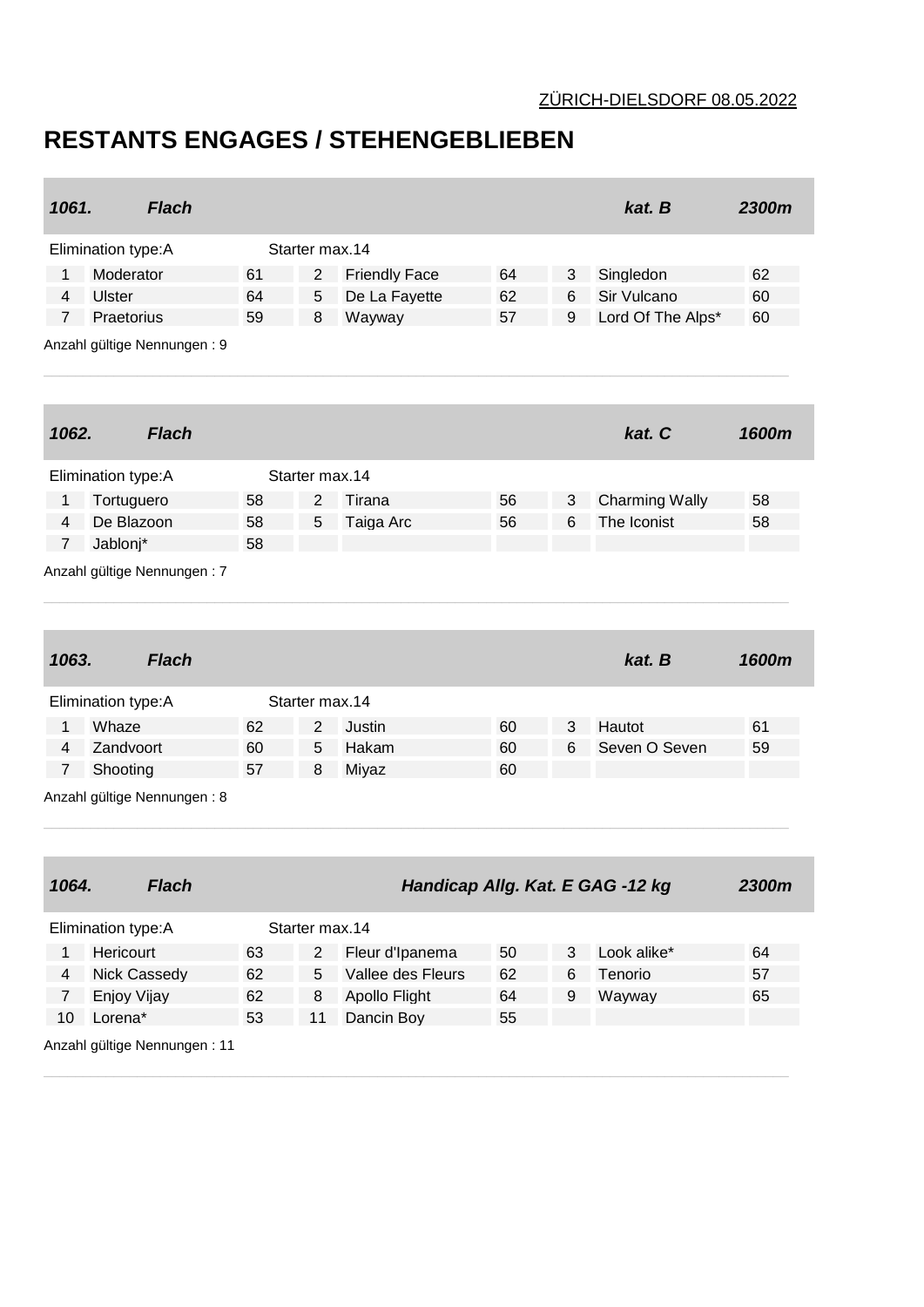## **RESTANTS ENGAGES / STEHENGEBLIEBEN**

| 1061.          | <b>Flach</b>                       |          |                |                                      |          |        | kat. B                           | 2300m |
|----------------|------------------------------------|----------|----------------|--------------------------------------|----------|--------|----------------------------------|-------|
|                | Elimination type: A                |          | Starter max.14 |                                      |          |        |                                  |       |
| 1              | Moderator                          | 61       | $\overline{2}$ | <b>Friendly Face</b>                 | 64       | 3      | Singledon                        | 62    |
| 4              | <b>Ulster</b>                      | 64       | 5              | De La Fayette                        | 62       | 6      | Sir Vulcano                      | 60    |
| 7              | Praetorius                         | 59       | 8              | Wayway                               | 57       | 9      | Lord Of The Alps*                | 60    |
|                | Anzahl gültige Nennungen: 9        |          |                |                                      |          |        |                                  |       |
| 1062.          | <b>Flach</b>                       |          |                |                                      |          |        | kat. C                           | 1600m |
|                | Elimination type:A                 |          | Starter max.14 |                                      |          |        |                                  |       |
| 1              | Tortuguero                         | 58       | 2              | Tirana                               | 56       | 3      | <b>Charming Wally</b>            | 58    |
| 4              | De Blazoon                         | 58       | 5              | Taiga Arc                            | 56       | 6      | The Iconist                      | 58    |
| $\overline{7}$ | Jablonj*                           | 58       |                |                                      |          |        |                                  |       |
|                | Anzahl gültige Nennungen: 7        |          |                |                                      |          |        |                                  |       |
| 1063.          | <b>Flach</b>                       |          |                |                                      |          |        | kat. B                           | 1600m |
|                | Elimination type: A                |          | Starter max.14 |                                      |          |        |                                  |       |
| 1              | Whaze                              | 62       | 2              | Justin                               | 60       | 3      | Hautot                           | 61    |
| 4              | Zandvoort                          | 60       | 5              | Hakam                                | 60       | 6      | Seven O Seven                    | 59    |
| 7              | Shooting                           | 57       | 8              | Miyaz                                | 60       |        |                                  |       |
|                | Anzahl gültige Nennungen: 8        |          |                |                                      |          |        |                                  |       |
|                |                                    |          |                |                                      |          |        |                                  |       |
| 1064.          | <b>Flach</b>                       |          |                |                                      |          |        | Handicap Allg. Kat. E GAG -12 kg | 2300m |
|                | Elimination type: A                |          | Starter max.14 |                                      |          |        |                                  |       |
| $\mathbf{1}$   | Hericourt                          |          | $\overline{2}$ |                                      |          |        |                                  | 64    |
| 4              |                                    | 63<br>62 | 5              | Fleur d'Ipanema<br>Vallee des Fleurs | 50<br>62 | 3<br>6 | Look alike*<br>Tenorio           | 57    |
| $\mathbf{7}$   | <b>Nick Cassedy</b><br>Enjoy Vijay | 62       | 8              | Apollo Flight                        | 64       | 9      | Wayway                           | 65    |
| 10             | Lorena*                            | 53       | 11             | Dancin Boy                           | 55       |        |                                  |       |